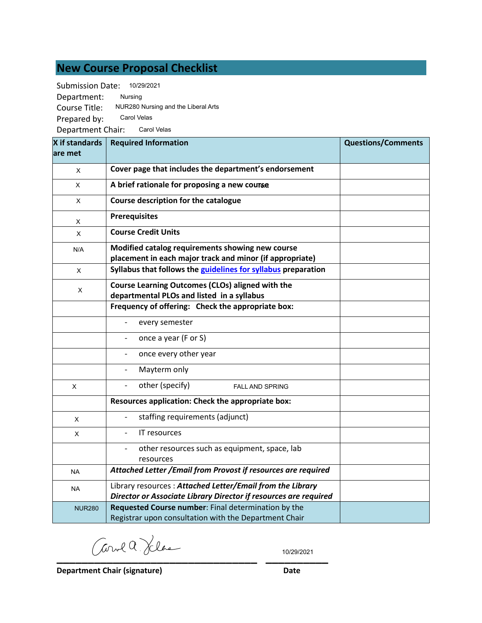# **New Course Proposal Checklist**

Submission Date: 10/29/2021

Department: Course Title: Prepared by: Department Chair: Carol Velas Nursing NUR280 Nursing and the Liberal Arts Carol Velas

| X if standards<br>lare met | <b>Required Information</b>                                                                                                   | <b>Questions/Comments</b> |
|----------------------------|-------------------------------------------------------------------------------------------------------------------------------|---------------------------|
| X                          | Cover page that includes the department's endorsement                                                                         |                           |
| X                          | A brief rationale for proposing a new course                                                                                  |                           |
| X                          | Course description for the catalogue                                                                                          |                           |
| Χ                          | <b>Prerequisites</b>                                                                                                          |                           |
| X                          | <b>Course Credit Units</b>                                                                                                    |                           |
| N/A                        | Modified catalog requirements showing new course<br>placement in each major track and minor (if appropriate)                  |                           |
| X                          | Syllabus that follows the guidelines for syllabus preparation                                                                 |                           |
| X                          | Course Learning Outcomes (CLOs) aligned with the<br>departmental PLOs and listed in a syllabus                                |                           |
|                            | Frequency of offering: Check the appropriate box:                                                                             |                           |
|                            | every semester                                                                                                                |                           |
|                            | once a year (F or S)                                                                                                          |                           |
|                            | once every other year                                                                                                         |                           |
|                            | Mayterm only                                                                                                                  |                           |
| X                          | other (specify)<br><b>FALL AND SPRING</b>                                                                                     |                           |
|                            | Resources application: Check the appropriate box:                                                                             |                           |
| X                          | staffing requirements (adjunct)                                                                                               |                           |
| X                          | IT resources                                                                                                                  |                           |
|                            | other resources such as equipment, space, lab<br>resources                                                                    |                           |
| <b>NA</b>                  | Attached Letter / Email from Provost if resources are required                                                                |                           |
| <b>NA</b>                  | Library resources: Attached Letter/Email from the Library<br>Director or Associate Library Director if resources are required |                           |
| <b>NUR280</b>              | Requested Course number: Final determination by the<br>Registrar upon consultation with the Department Chair                  |                           |

**\_\_\_\_\_\_\_\_\_\_\_\_\_\_\_\_\_\_\_\_\_\_\_\_\_\_\_\_\_\_\_\_ \_\_\_\_\_\_\_\_\_\_**

10/29/2021

**Department Chair (signature) Date**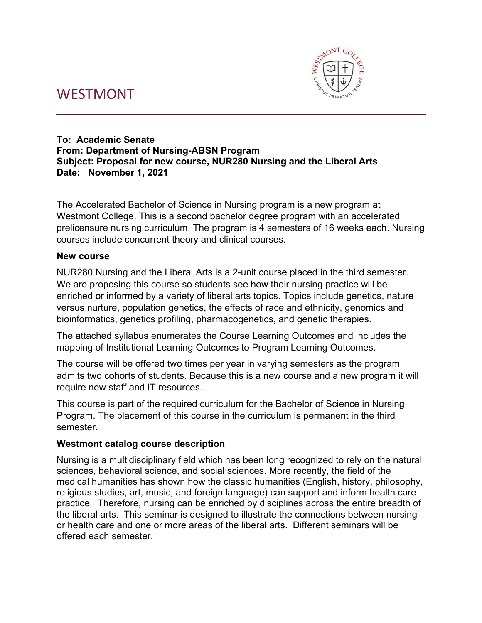# WESTMONT



#### **To: Academic Senate From: Department of Nursing-ABSN Program Subject: Proposal for new course, NUR280 Nursing and the Liberal Arts Date: November 1, 2021**

The Accelerated Bachelor of Science in Nursing program is a new program at Westmont College. This is a second bachelor degree program with an accelerated prelicensure nursing curriculum. The program is 4 semesters of 16 weeks each. Nursing courses include concurrent theory and clinical courses.

# **New course**

NUR280 Nursing and the Liberal Arts is a 2-unit course placed in the third semester. We are proposing this course so students see how their nursing practice will be enriched or informed by a variety of liberal arts topics. Topics include genetics, nature versus nurture, population genetics, the effects of race and ethnicity, genomics and bioinformatics, genetics profiling, pharmacogenetics, and genetic therapies.

The attached syllabus enumerates the Course Learning Outcomes and includes the mapping of Institutional Learning Outcomes to Program Learning Outcomes.

The course will be offered two times per year in varying semesters as the program admits two cohorts of students. Because this is a new course and a new program it will require new staff and IT resources.

This course is part of the required curriculum for the Bachelor of Science in Nursing Program. The placement of this course in the curriculum is permanent in the third semester.

# **Westmont catalog course description**

Nursing is a multidisciplinary field which has been long recognized to rely on the natural sciences, behavioral science, and social sciences. More recently, the field of the medical humanities has shown how the classic humanities (English, history, philosophy, religious studies, art, music, and foreign language) can support and inform health care practice. Therefore, nursing can be enriched by disciplines across the entire breadth of the liberal arts. This seminar is designed to illustrate the connections between nursing or health care and one or more areas of the liberal arts. Different seminars will be offered each semester.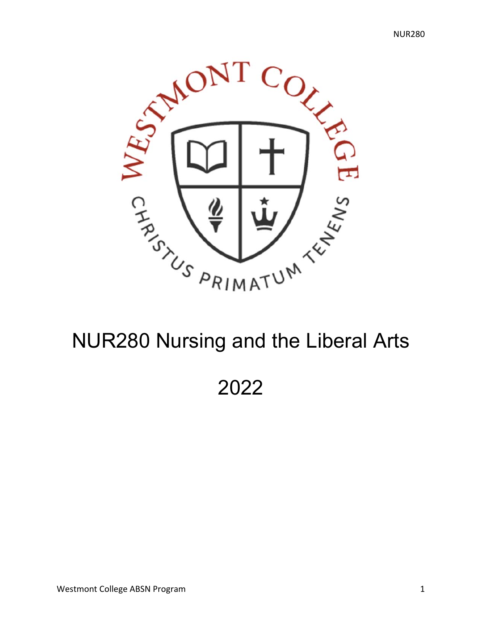

# NUR280 Nursing and the Liberal Arts

2022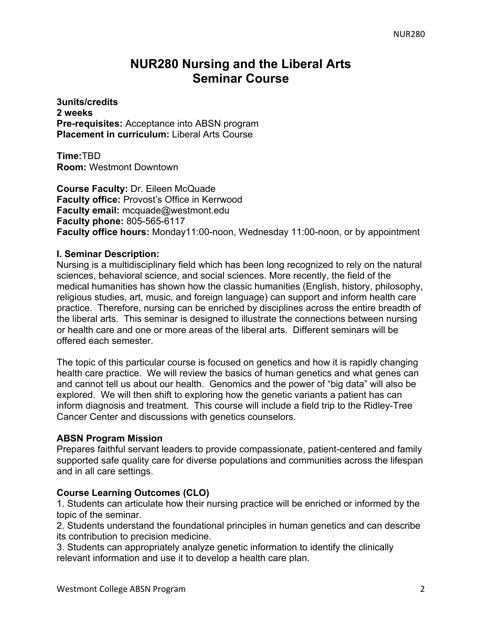# **NUR280 Nursing and the Liberal Arts Seminar Course**

**3units/credits 2 weeks Pre-requisites:** Acceptance into ABSN program **Placement in curriculum: Liberal Arts Course** 

**Time:**TBD **Room:** Westmont Downtown

**Course Faculty:** Dr. Eileen McQuade **Faculty office:** Provost's Office in Kerrwood **Faculty email:** mcquade@westmont.edu **Faculty phone:** 805-565-6117 **Faculty office hours:** Monday11:00-noon, Wednesday 11:00-noon, or by appointment

#### **I. Seminar Description:**

Nursing is a multidisciplinary field which has been long recognized to rely on the natural sciences, behavioral science, and social sciences. More recently, the field of the medical humanities has shown how the classic humanities (English, history, philosophy, religious studies, art, music, and foreign language) can support and inform health care practice. Therefore, nursing can be enriched by disciplines across the entire breadth of the liberal arts. This seminar is designed to illustrate the connections between nursing or health care and one or more areas of the liberal arts. Different seminars will be offered each semester.

The topic of this particular course is focused on genetics and how it is rapidly changing health care practice. We will review the basics of human genetics and what genes can and cannot tell us about our health. Genomics and the power of "big data" will also be explored. We will then shift to exploring how the genetic variants a patient has can inform diagnosis and treatment. This course will include a field trip to the Ridley-Tree Cancer Center and discussions with genetics counselors.

# **ABSN Program Mission**

Prepares faithful servant leaders to provide compassionate, patient-centered and family supported safe quality care for diverse populations and communities across the lifespan and in all care settings.

# **Course Learning Outcomes (CLO)**

1. Students can articulate how their nursing practice will be enriched or informed by the topic of the seminar.

2. Students understand the foundational principles in human genetics and can describe its contribution to precision medicine.

3. Students can appropriately analyze genetic information to identify the clinically relevant information and use it to develop a health care plan.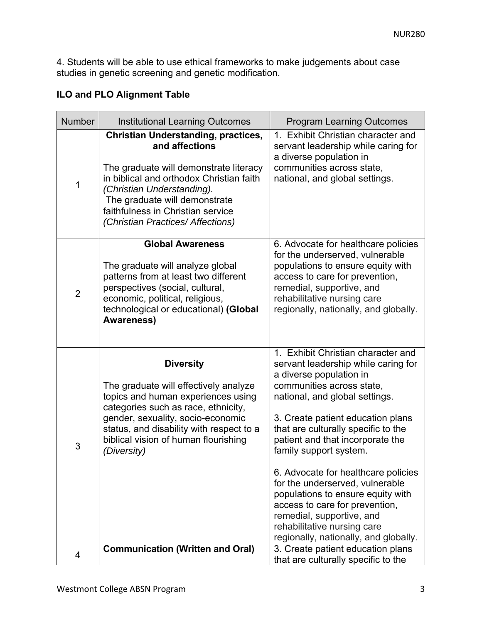4. Students will be able to use ethical frameworks to make judgements about case studies in genetic screening and genetic modification.

# **ILO and PLO Alignment Table**

| <b>Number</b>  | <b>Institutional Learning Outcomes</b>                                                                                                                                                                                                                                                      | <b>Program Learning Outcomes</b>                                                                                                                                                                                                                                                                                                                                                                                                                                                                                                                                    |
|----------------|---------------------------------------------------------------------------------------------------------------------------------------------------------------------------------------------------------------------------------------------------------------------------------------------|---------------------------------------------------------------------------------------------------------------------------------------------------------------------------------------------------------------------------------------------------------------------------------------------------------------------------------------------------------------------------------------------------------------------------------------------------------------------------------------------------------------------------------------------------------------------|
| 1              | <b>Christian Understanding, practices,</b><br>and affections<br>The graduate will demonstrate literacy<br>in biblical and orthodox Christian faith<br>(Christian Understanding).<br>The graduate will demonstrate<br>faithfulness in Christian service<br>(Christian Practices/ Affections) | 1. Exhibit Christian character and<br>servant leadership while caring for<br>a diverse population in<br>communities across state,<br>national, and global settings.                                                                                                                                                                                                                                                                                                                                                                                                 |
| $\overline{2}$ | <b>Global Awareness</b><br>The graduate will analyze global<br>patterns from at least two different<br>perspectives (social, cultural,<br>economic, political, religious,<br>technological or educational) (Global<br><b>Awareness)</b>                                                     | 6. Advocate for healthcare policies<br>for the underserved, vulnerable<br>populations to ensure equity with<br>access to care for prevention,<br>remedial, supportive, and<br>rehabilitative nursing care<br>regionally, nationally, and globally.                                                                                                                                                                                                                                                                                                                  |
| 3              | <b>Diversity</b><br>The graduate will effectively analyze<br>topics and human experiences using<br>categories such as race, ethnicity,<br>gender, sexuality, socio-economic<br>status, and disability with respect to a<br>biblical vision of human flourishing<br>(Diversity)              | 1. Exhibit Christian character and<br>servant leadership while caring for<br>a diverse population in<br>communities across state,<br>national, and global settings.<br>3. Create patient education plans<br>that are culturally specific to the<br>patient and that incorporate the<br>family support system.<br>6. Advocate for healthcare policies<br>for the underserved, vulnerable<br>populations to ensure equity with<br>access to care for prevention,<br>remedial, supportive, and<br>rehabilitative nursing care<br>regionally, nationally, and globally. |
| 4              | <b>Communication (Written and Oral)</b>                                                                                                                                                                                                                                                     | 3. Create patient education plans<br>that are culturally specific to the                                                                                                                                                                                                                                                                                                                                                                                                                                                                                            |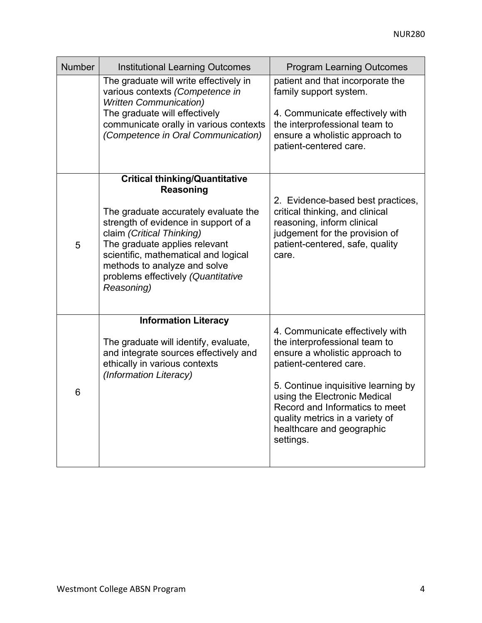| <b>Number</b> | <b>Institutional Learning Outcomes</b>                                                                                                                                                                                                                                                                                       | <b>Program Learning Outcomes</b>                                                                                                                                                                                                                                                                                   |
|---------------|------------------------------------------------------------------------------------------------------------------------------------------------------------------------------------------------------------------------------------------------------------------------------------------------------------------------------|--------------------------------------------------------------------------------------------------------------------------------------------------------------------------------------------------------------------------------------------------------------------------------------------------------------------|
|               | The graduate will write effectively in<br>various contexts (Competence in<br><b>Written Communication)</b><br>The graduate will effectively                                                                                                                                                                                  | patient and that incorporate the<br>family support system.<br>4. Communicate effectively with                                                                                                                                                                                                                      |
|               | communicate orally in various contexts<br>(Competence in Oral Communication)                                                                                                                                                                                                                                                 | the interprofessional team to<br>ensure a wholistic approach to<br>patient-centered care.                                                                                                                                                                                                                          |
| 5             | <b>Critical thinking/Quantitative</b><br>Reasoning<br>The graduate accurately evaluate the<br>strength of evidence in support of a<br>claim (Critical Thinking)<br>The graduate applies relevant<br>scientific, mathematical and logical<br>methods to analyze and solve<br>problems effectively (Quantitative<br>Reasoning) | 2. Evidence-based best practices,<br>critical thinking, and clinical<br>reasoning, inform clinical<br>judgement for the provision of<br>patient-centered, safe, quality<br>care.                                                                                                                                   |
| 6             | <b>Information Literacy</b><br>The graduate will identify, evaluate,<br>and integrate sources effectively and<br>ethically in various contexts<br>(Information Literacy)                                                                                                                                                     | 4. Communicate effectively with<br>the interprofessional team to<br>ensure a wholistic approach to<br>patient-centered care.<br>5. Continue inquisitive learning by<br>using the Electronic Medical<br>Record and Informatics to meet<br>quality metrics in a variety of<br>healthcare and geographic<br>settings. |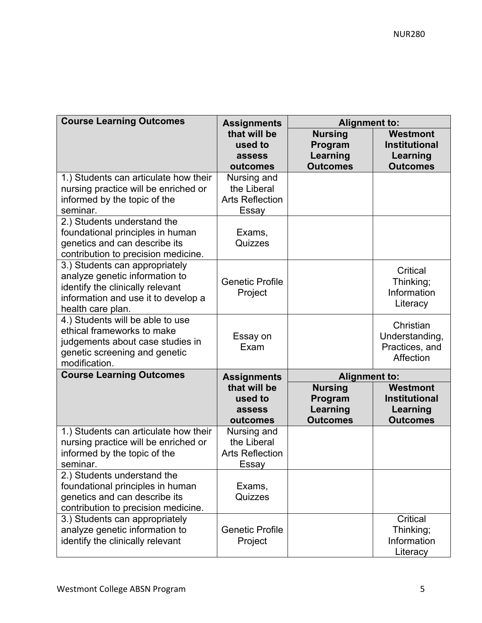| <b>Course Learning Outcomes</b>                                                                                                                                  | <b>Assignments</b>                                            | <b>Alignment to:</b>                                     |                                                                 |  |
|------------------------------------------------------------------------------------------------------------------------------------------------------------------|---------------------------------------------------------------|----------------------------------------------------------|-----------------------------------------------------------------|--|
|                                                                                                                                                                  | that will be<br>used to<br>assess<br>outcomes                 | <b>Nursing</b><br>Program<br>Learning<br><b>Outcomes</b> | Westmont<br><b>Institutional</b><br>Learning<br><b>Outcomes</b> |  |
| 1.) Students can articulate how their<br>nursing practice will be enriched or<br>informed by the topic of the<br>seminar.                                        | Nursing and<br>the Liberal<br><b>Arts Reflection</b><br>Essay |                                                          |                                                                 |  |
| 2.) Students understand the<br>foundational principles in human<br>genetics and can describe its<br>contribution to precision medicine.                          | Exams,<br>Quizzes                                             |                                                          |                                                                 |  |
| 3.) Students can appropriately<br>analyze genetic information to<br>identify the clinically relevant<br>information and use it to develop a<br>health care plan. | <b>Genetic Profile</b><br>Project                             |                                                          | Critical<br>Thinking;<br>Information<br>Literacy                |  |
| 4.) Students will be able to use<br>ethical frameworks to make<br>judgements about case studies in<br>genetic screening and genetic<br>modification.             | Essay on<br>Exam                                              |                                                          | Christian<br>Understanding,<br>Practices, and<br>Affection      |  |
| <b>Course Learning Outcomes</b>                                                                                                                                  | <b>Assignments</b>                                            | <b>Alignment to:</b>                                     |                                                                 |  |
|                                                                                                                                                                  | that will be<br>used to<br>assess<br>outcomes                 | <b>Nursing</b><br>Program<br>Learning<br><b>Outcomes</b> | Westmont<br><b>Institutional</b><br>Learning<br><b>Outcomes</b> |  |
| 1.) Students can articulate how their<br>nursing practice will be enriched or<br>informed by the topic of the<br>seminar.                                        | Nursing and<br>the Liberal<br><b>Arts Reflection</b><br>Essay |                                                          |                                                                 |  |
| 2.) Students understand the<br>foundational principles in human<br>genetics and can describe its<br>contribution to precision medicine.                          | Exams,<br>Quizzes                                             |                                                          |                                                                 |  |
| 3.) Students can appropriately<br>analyze genetic information to<br>identify the clinically relevant                                                             | <b>Genetic Profile</b><br>Project                             |                                                          | Critical<br>Thinking;<br>Information<br>Literacy                |  |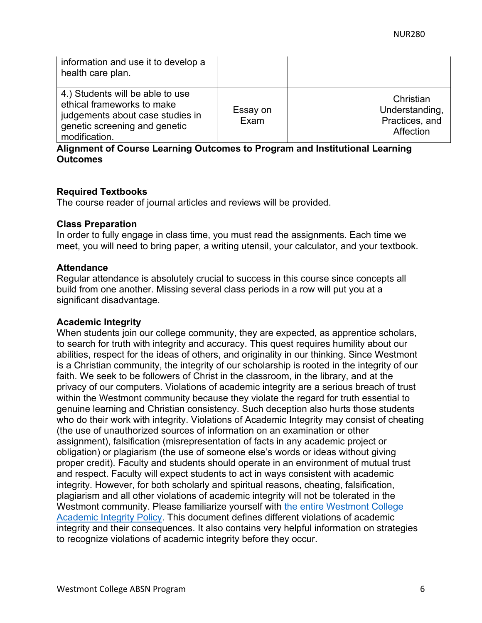| information and use it to develop a<br>health care plan.                                                                                             |                  |                                                            |
|------------------------------------------------------------------------------------------------------------------------------------------------------|------------------|------------------------------------------------------------|
| 4.) Students will be able to use<br>ethical frameworks to make<br>judgements about case studies in<br>genetic screening and genetic<br>modification. | Essay on<br>Exam | Christian<br>Understanding,<br>Practices, and<br>Affection |

#### **Alignment of Course Learning Outcomes to Program and Institutional Learning Outcomes**

#### **Required Textbooks**

The course reader of journal articles and reviews will be provided.

#### **Class Preparation**

In order to fully engage in class time, you must read the assignments. Each time we meet, you will need to bring paper, a writing utensil, your calculator, and your textbook.

#### **Attendance**

Regular attendance is absolutely crucial to success in this course since concepts all build from one another. Missing several class periods in a row will put you at a significant disadvantage.

#### **Academic Integrity**

When students join our college community, they are expected, as apprentice scholars, to search for truth with integrity and accuracy. This quest requires humility about our abilities, respect for the ideas of others, and originality in our thinking. Since Westmont is a Christian community, the integrity of our scholarship is rooted in the integrity of our faith. We seek to be followers of Christ in the classroom, in the library, and at the privacy of our computers. Violations of academic integrity are a serious breach of trust within the Westmont community because they violate the regard for truth essential to genuine learning and Christian consistency. Such deception also hurts those students who do their work with integrity. Violations of Academic Integrity may consist of cheating (the use of unauthorized sources of information on an examination or other assignment), falsification (misrepresentation of facts in any academic project or obligation) or plagiarism (the use of someone else's words or ideas without giving proper credit). Faculty and students should operate in an environment of mutual trust and respect. Faculty will expect students to act in ways consistent with academic integrity. However, for both scholarly and spiritual reasons, cheating, falsification, plagiarism and all other violations of academic integrity will not be tolerated in the Westmont community. Please familiarize yourself with the entire Westmont College Academic Integrity Policy. This document defines different violations of academic integrity and their consequences. It also contains very helpful information on strategies to recognize violations of academic integrity before they occur.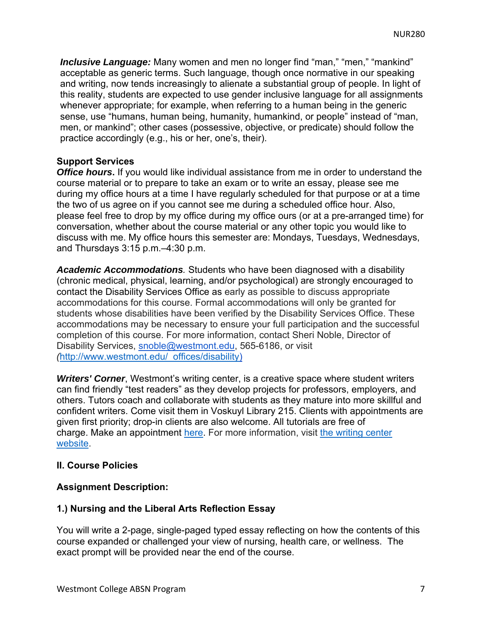*Inclusive Language:* Many women and men no longer find "man," "men," "mankind" acceptable as generic terms. Such language, though once normative in our speaking and writing, now tends increasingly to alienate a substantial group of people. In light of this reality, students are expected to use gender inclusive language for all assignments whenever appropriate; for example, when referring to a human being in the generic sense, use "humans, human being, humanity, humankind, or people" instead of "man, men, or mankind"; other cases (possessive, objective, or predicate) should follow the practice accordingly (e.g., his or her, one's, their).

#### **Support Services**

**Office hours.** If you would like individual assistance from me in order to understand the course material or to prepare to take an exam or to write an essay, please see me during my office hours at a time I have regularly scheduled for that purpose or at a time the two of us agree on if you cannot see me during a scheduled office hour. Also, please feel free to drop by my office during my office ours (or at a pre-arranged time) for conversation, whether about the course material or any other topic you would like to discuss with me. My office hours this semester are: Mondays, Tuesdays, Wednesdays, and Thursdays 3:15 p.m.–4:30 p.m.

*Academic Accommodations.* Students who have been diagnosed with a disability (chronic medical, physical, learning, and/or psychological) are strongly encouraged to contact the Disability Services Office as early as possible to discuss appropriate accommodations for this course. Formal accommodations will only be granted for students whose disabilities have been verified by the Disability Services Office. These accommodations may be necessary to ensure your full participation and the successful completion of this course. For more information, contact Sheri Noble, Director of Disability Services, snoble@westmont.edu, 565-6186, or visit *(*http://www.westmont.edu/\_offices/disability)

*Writers' Corner*, Westmont's writing center, is a creative space where student writers can find friendly "test readers" as they develop projects for professors, employers, and others. Tutors coach and collaborate with students as they mature into more skillful and confident writers. Come visit them in Voskuyl Library 215. Clients with appointments are given first priority; drop-in clients are also welcome. All tutorials are free of charge. Make an appointment here. For more information, visit the writing center website.

#### **II. Course Policies**

#### **Assignment Description:**

# **1.) Nursing and the Liberal Arts Reflection Essay**

You will write a 2-page, single-paged typed essay reflecting on how the contents of this course expanded or challenged your view of nursing, health care, or wellness. The exact prompt will be provided near the end of the course.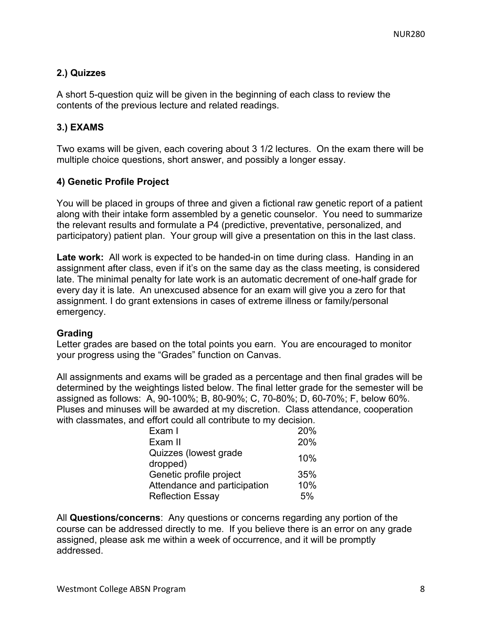# **2.) Quizzes**

A short 5-question quiz will be given in the beginning of each class to review the contents of the previous lecture and related readings.

# **3.) EXAMS**

Two exams will be given, each covering about 3 1/2 lectures. On the exam there will be multiple choice questions, short answer, and possibly a longer essay.

# **4) Genetic Profile Project**

You will be placed in groups of three and given a fictional raw genetic report of a patient along with their intake form assembled by a genetic counselor. You need to summarize the relevant results and formulate a P4 (predictive, preventative, personalized, and participatory) patient plan. Your group will give a presentation on this in the last class.

**Late work:** All work is expected to be handed-in on time during class. Handing in an assignment after class, even if it's on the same day as the class meeting, is considered late. The minimal penalty for late work is an automatic decrement of one-half grade for every day it is late. An unexcused absence for an exam will give you a zero for that assignment. I do grant extensions in cases of extreme illness or family/personal emergency.

# **Grading**

Letter grades are based on the total points you earn. You are encouraged to monitor your progress using the "Grades" function on Canvas.

All assignments and exams will be graded as a percentage and then final grades will be determined by the weightings listed below. The final letter grade for the semester will be assigned as follows: A, 90-100%; B, 80-90%; C, 70-80%; D, 60-70%; F, below 60%. Pluses and minuses will be awarded at my discretion. Class attendance, cooperation with classmates, and effort could all contribute to my decision.

| Exam I                       | 20% |
|------------------------------|-----|
| Exam II                      | 20% |
| Quizzes (lowest grade        | 10% |
| dropped)                     |     |
| Genetic profile project      | 35% |
| Attendance and participation | 10% |
| <b>Reflection Essay</b>      | 5%  |

All **Questions/concerns**: Any questions or concerns regarding any portion of the course can be addressed directly to me. If you believe there is an error on any grade assigned, please ask me within a week of occurrence, and it will be promptly addressed.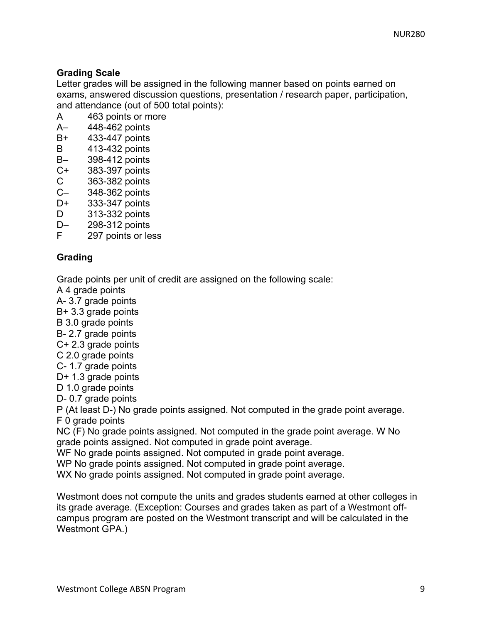# **Grading Scale**

Letter grades will be assigned in the following manner based on points earned on exams, answered discussion questions, presentation / research paper, participation, and attendance (out of 500 total points):

- A 463 points or more
- A– 448-462 points
- B+ 433-447 points
- B 413-432 points
- B– 398-412 points
- C+ 383-397 points
- C 363-382 points
- C– 348-362 points
- D+ 333-347 points
- D 313-332 points
- D– 298-312 points
- F 297 points or less

# **Grading**

Grade points per unit of credit are assigned on the following scale:

- A 4 grade points
- A- 3.7 grade points
- B+ 3.3 grade points
- B 3.0 grade points
- B- 2.7 grade points
- C+ 2.3 grade points
- C 2.0 grade points
- C- 1.7 grade points
- D+ 1.3 grade points
- D 1.0 grade points
- D- 0.7 grade points

P (At least D-) No grade points assigned. Not computed in the grade point average.

F 0 grade points

NC (F) No grade points assigned. Not computed in the grade point average. W No grade points assigned. Not computed in grade point average.

WF No grade points assigned. Not computed in grade point average.

- WP No grade points assigned. Not computed in grade point average.
- WX No grade points assigned. Not computed in grade point average.

Westmont does not compute the units and grades students earned at other colleges in its grade average. (Exception: Courses and grades taken as part of a Westmont offcampus program are posted on the Westmont transcript and will be calculated in the Westmont GPA.)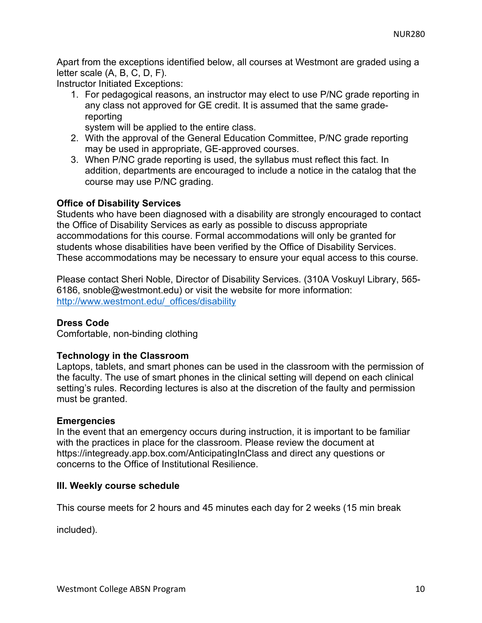Apart from the exceptions identified below, all courses at Westmont are graded using a letter scale (A, B, C, D, F).

Instructor Initiated Exceptions:

1. For pedagogical reasons, an instructor may elect to use P/NC grade reporting in any class not approved for GE credit. It is assumed that the same gradereporting

system will be applied to the entire class.

- 2. With the approval of the General Education Committee, P/NC grade reporting may be used in appropriate, GE-approved courses.
- 3. When P/NC grade reporting is used, the syllabus must reflect this fact. In addition, departments are encouraged to include a notice in the catalog that the course may use P/NC grading.

# **Office of Disability Services**

Students who have been diagnosed with a disability are strongly encouraged to contact the Office of Disability Services as early as possible to discuss appropriate accommodations for this course. Formal accommodations will only be granted for students whose disabilities have been verified by the Office of Disability Services. These accommodations may be necessary to ensure your equal access to this course.

Please contact Sheri Noble, Director of Disability Services. (310A Voskuyl Library, 565- 6186, snoble@westmont.edu) or visit the website for more information: http://www.westmont.edu/\_offices/disability

# **Dress Code**

Comfortable, non-binding clothing

# **Technology in the Classroom**

Laptops, tablets, and smart phones can be used in the classroom with the permission of the faculty. The use of smart phones in the clinical setting will depend on each clinical setting's rules. Recording lectures is also at the discretion of the faulty and permission must be granted.

# **Emergencies**

In the event that an emergency occurs during instruction, it is important to be familiar with the practices in place for the classroom. Please review the document at https://integready.app.box.com/AnticipatingInClass and direct any questions or concerns to the Office of Institutional Resilience.

# **III. Weekly course schedule**

This course meets for 2 hours and 45 minutes each day for 2 weeks (15 min break

included).